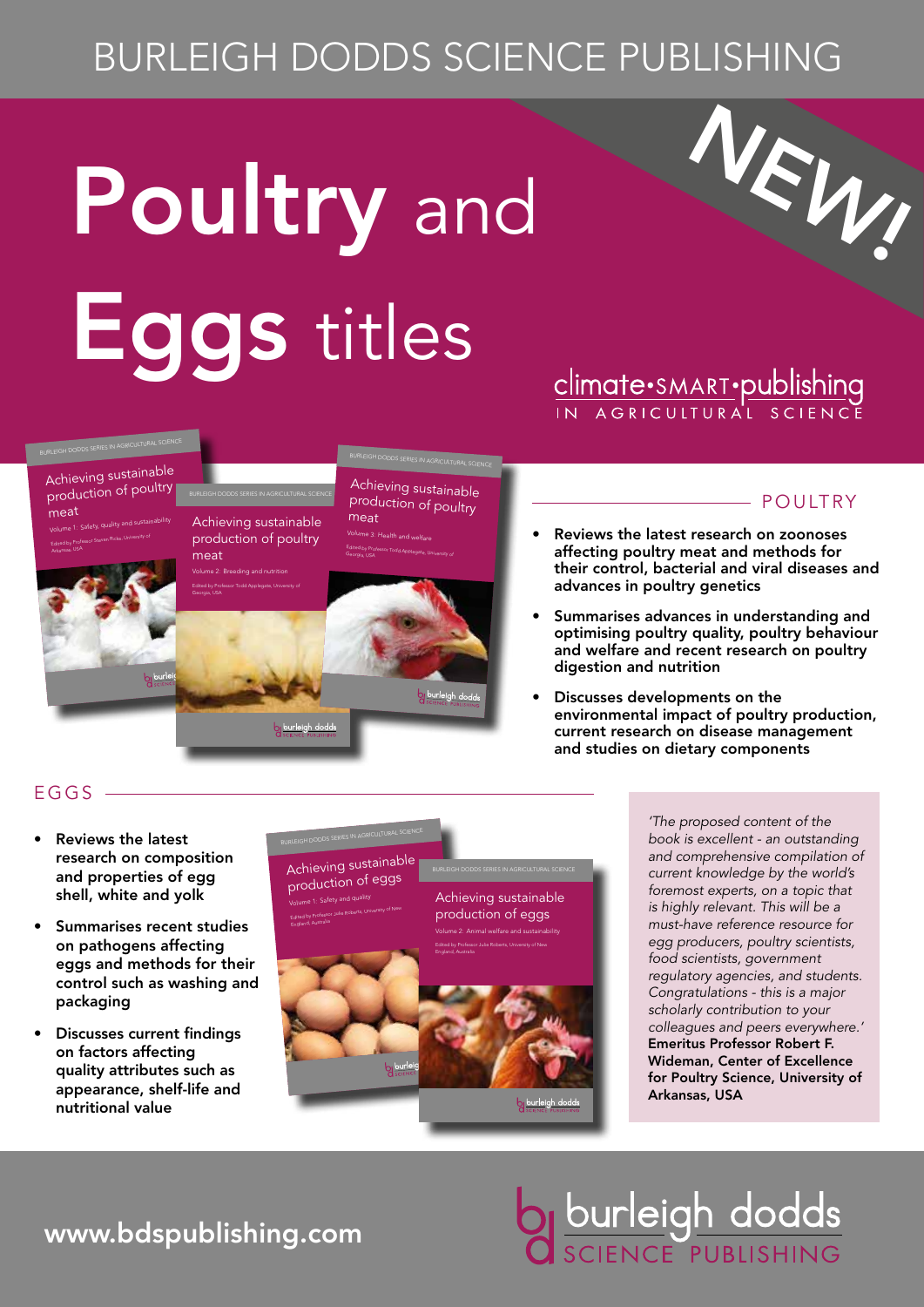## BURLEIGH DODDS SCIENCE PUBLISHING

# Poultry and Eggs titles

## Climate.SMART.publishing

## Achieving sustainable production of poultry meat

BURLEIGH DODDS SERIES IN AGRICULTURAL SCIENCE

.<br>Volume 1: Safety, quality and sustainability Edited by Professor Steven Ricke, University o<sup>f</sup> <sub>Arkans</sub>as, USA

Achieving sustainable production of poultry meat

Volume 2: Breeding and nutrition Edited by Professor Todd Applegate, University of

Georgia, USA

production of poultry meat Volume 3: Health and welfare Edited by Professor Todd Applegate, University of Georgia, USA

Achieving sustainable

BURLEIGH DODDS SERIES IN AGRICULTURAL SCIENCE

## - POULTRY

NEW!

- Reviews the latest research on zoonoses affecting poultry meat and methods for their control, bacterial and viral diseases and advances in poultry genetics
- Summarises advances in understanding and optimising poultry quality, poultry behaviour and welfare and recent research on poultry digestion and nutrition
- Discusses developments on the environmental impact of poultry production, current research on disease management and studies on dietary components

**b** burleigh dodds

## $FGGS -$

- Reviews the latest research on composition and properties of egg shell, white and yolk
- Summarises recent studies on pathogens affecting eggs and methods for their control such as washing and packaging
- Discusses current findings on factors affecting quality attributes such as appearance, shelf-life and nutritional value



*'The proposed content of the book is excellent - an outstanding and comprehensive compilation of current knowledge by the world's foremost experts, on a topic that is highly relevant. This will be a must-have reference resource for egg producers, poultry scientists, food scientists, government regulatory agencies, and students. Congratulations - this is a major scholarly contribution to your colleagues and peers everywhere.'*  Emeritus Professor Robert F. Wideman, Center of Excellence for Poultry Science, University of Arkansas, USA

## www.bdspublishing.com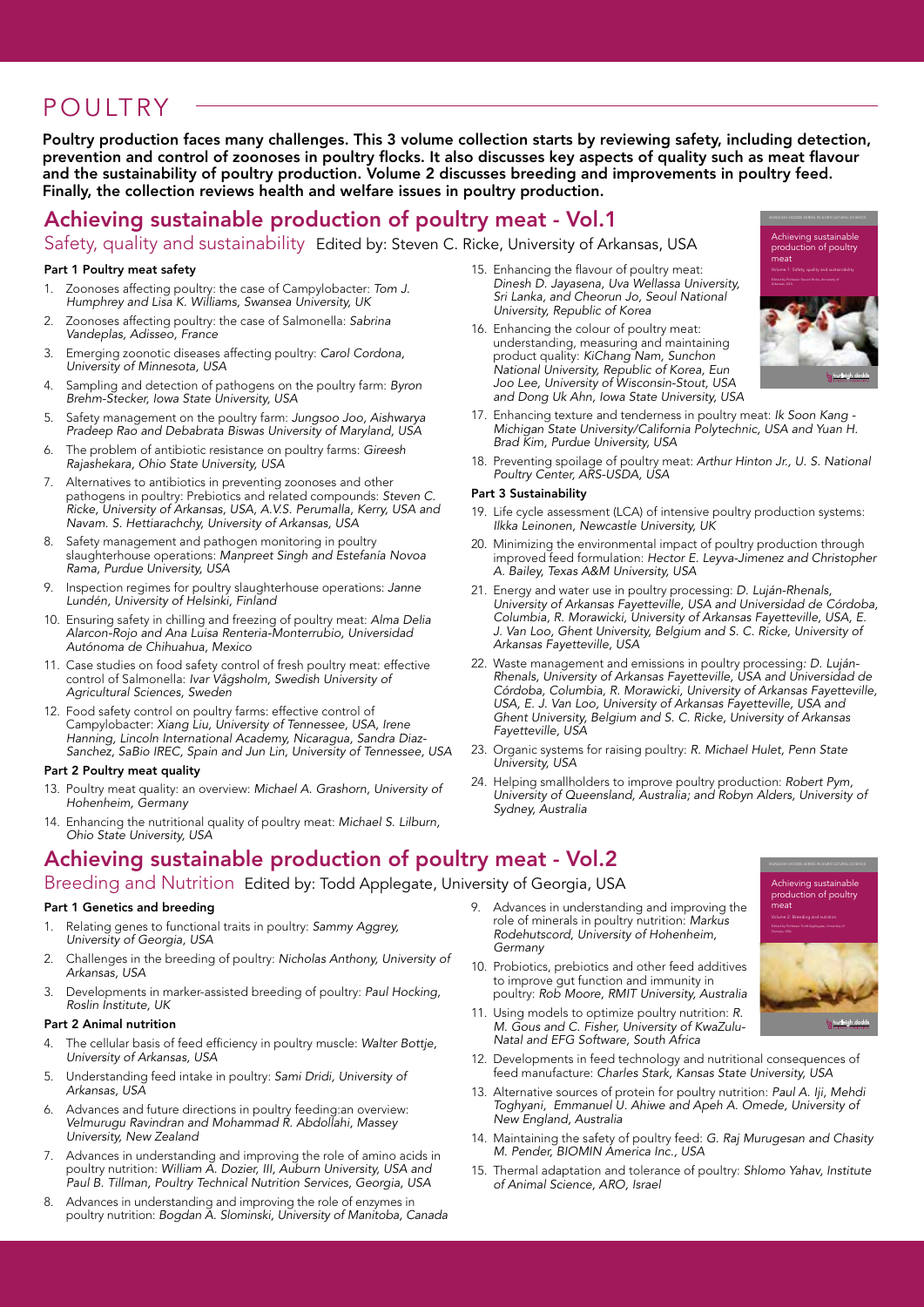## POULTRY

Poultry production faces many challenges. This 3 volume collection starts by reviewing safety, including detection, prevention and control of zoonoses in poultry flocks. It also discusses key aspects of quality such as meat flavour and the sustainability of poultry production. Volume 2 discusses breeding and improvements in poultry feed. Finally, the collection reviews health and welfare issues in poultry production.

## Achieving sustainable production of poultry meat - Vol.1

Safety, quality and sustainability Edited by: Steven C. Ricke, University of Arkansas, USA

#### Part 1 Poultry meat safety

- 1. Zoonoses affecting poultry: the case of Campylobacter: *Tom J. Humphrey and Lisa K. Williams, Swansea University, UK*
- 2. Zoonoses affecting poultry: the case of Salmonella: *Sabrina Vandeplas, Adisseo, France*
- 3. Emerging zoonotic diseases affecting poultry: *Carol Cordona, University of Minnesota, USA*
- 4. Sampling and detection of pathogens on the poultry farm: *Byron Brehm-Stecker, Iowa State University, USA*
- 5. Safety management on the poultry farm: *Jungsoo Joo, Aishwarya Pradeep Rao and Debabrata Biswas University of Maryland, USA*
- 6. The problem of antibiotic resistance on poultry farms: *Gireesh Rajashekara, Ohio State University, USA*
- 7. Alternatives to antibiotics in preventing zoonoses and other pathogens in poultry: Prebiotics and related compounds: *Steven C. Ricke, University of Arkansas, USA, A.V.S. Perumalla, Kerry, USA and Navam. S. Hettiarachchy, University of Arkansas, USA*
- 8. Safety management and pathogen monitoring in poultry slaughterhouse operations: *Manpreet Singh and Estefanía Novoa Rama, Purdue University, USA*
- 9. Inspection regimes for poultry slaughterhouse operations: *Janne Lundén, University of Helsinki, Finland*
- 10. Ensuring safety in chilling and freezing of poultry meat: *Alma Delia Alarcon-Rojo and Ana Luisa Renteria-Monterrubio, Universidad Autónoma de Chihuahua, Mexico*
- 11. Case studies on food safety control of fresh poultry meat: effective control of Salmonella: *Ivar Vågsholm, Swedish University of Agricultural Sciences, Sweden*
- 12. Food safety control on poultry farms: effective control of Campylobacter: *Xiang Liu, University of Tennessee, USA, Irene Hanning, Lincoln International Academy, Nicaragua, Sandra Diaz-Sanchez, SaBio IREC, Spain and Jun Lin, University of Tennessee, USA*

#### Part 2 Poultry meat quality

- 13. Poultry meat quality: an overview: *Michael A. Grashorn, University of Hohenheim, Germany*
- 14. Enhancing the nutritional quality of poultry meat: *Michael S. Lilburn, Ohio State University, USA*

## Achieving sustainable production of poultry meat - Vol.2

## Breeding and Nutrition Edited by: Todd Applegate, University of Georgia, USA

### Part 1 Genetics and breeding

- 1. Relating genes to functional traits in poultry: *Sammy Aggrey, University of Georgia, USA*
- 2. Challenges in the breeding of poultry: *Nicholas Anthony, University of Arkansas, USA*
- 3. Developments in marker-assisted breeding of poultry: *Paul Hocking, Roslin Institute, UK*

### Part 2 Animal nutrition

- 4. The cellular basis of feed efficiency in poultry muscle: *Walter Bottje, University of Arkansas, USA*
- 5. Understanding feed intake in poultry: *Sami Dridi, University of Arkansas, USA*
- 6. Advances and future directions in poultry feeding:an overview: *Velmurugu Ravindran and Mohammad R. Abdollahi, Massey University, New Zealand*
- 7. Advances in understanding and improving the role of amino acids in poultry nutrition: *William A. Dozier, III, Auburn University, USA and Paul B. Tillman, Poultry Technical Nutrition Services, Georgia, USA*
- 8. Advances in understanding and improving the role of enzymes in poultry nutrition: *Bogdan A. Slominski, University of Manitoba, Canada*
- 9. Advances in understanding and improving the role of minerals in poultry nutrition: *Markus Rodehutscord, University of Hohenheim, Germany*
- 10. Probiotics, prebiotics and other feed additives to improve gut function and immunity in poultry: *Rob Moore, RMIT University, Australia*
- 11. Using models to optimize poultry nutrition: *R. M. Gous and C. Fisher, University of KwaZulu-Natal and EFG Software, South Africa*
- 12. Developments in feed technology and nutritional consequences of feed manufacture: *Charles Stark, Kansas State University, USA*
- 13. Alternative sources of protein for poultry nutrition: *Paul A. Iji, Mehdi Toghyani, Emmanuel U. Ahiwe and Apeh A. Omede, University of New England, Australia*
- 14. Maintaining the safety of poultry feed: *G. Raj Murugesan and Chasity M. Pender, BIOMIN America Inc., USA*
- 15. Thermal adaptation and tolerance of poultry: *Shlomo Yahav, Institute of Animal Science, ARO, Israel*
- 15. Enhancing the flavour of poultry meat: *Dinesh D. Jayasena, Uva Wellassa University, Sri Lanka, and Cheorun Jo, Seoul National University, Republic of Korea*
- 16. Enhancing the colour of poultry meat: understanding, measuring and maintaining product quality: *KiChang Nam, Sunchon National University, Republic of Korea, Eun Joo Lee, University of Wisconsin-Stout, USA and Dong Uk Ahn, Iowa State University, USA*



- 17. Enhancing texture and tenderness in poultry meat: *Ik Soon Kang Michigan State University/California Polytechnic, USA and Yuan H. Brad Kim, Purdue University, USA*
- 18. Preventing spoilage of poultry meat: *Arthur Hinton Jr., U. S. National Poultry Center, ARS-USDA, USA*

#### Part 3 Sustainability

- 19. Life cycle assessment (LCA) of intensive poultry production systems: *Ilkka Leinonen, Newcastle University, UK*
- 20. Minimizing the environmental impact of poultry production through improved feed formulation: *Hector E. Leyva-Jimenez and Christopher A. Bailey, Texas A&M University, USA*
- 21. Energy and water use in poultry processing: *D. Luján-Rhenals, University of Arkansas Fayetteville, USA and Universidad de Córdoba, Columbia, R. Morawicki, University of Arkansas Fayetteville, USA, E. J. Van Loo, Ghent University, Belgium and S. C. Ricke, University of Arkansas Fayetteville, USA*
- 22. Waste management and emissions in poultry processing*: D. Luján-Rhenals, University of Arkansas Fayetteville, USA and Universidad de Córdoba, Columbia, R. Morawicki, University of Arkansas Fayetteville, USA, E. J. Van Loo, University of Arkansas Fayetteville, USA and Ghent University, Belgium and S. C. Ricke, University of Arkansas Fayetteville, USA*
- 23. Organic systems for raising poultry: *R. Michael Hulet, Penn State University, USA*
- 24. Helping smallholders to improve poultry production: *Robert Pym, University of Queensland, Australia; and Robyn Alders, University of Sydney, Australia*

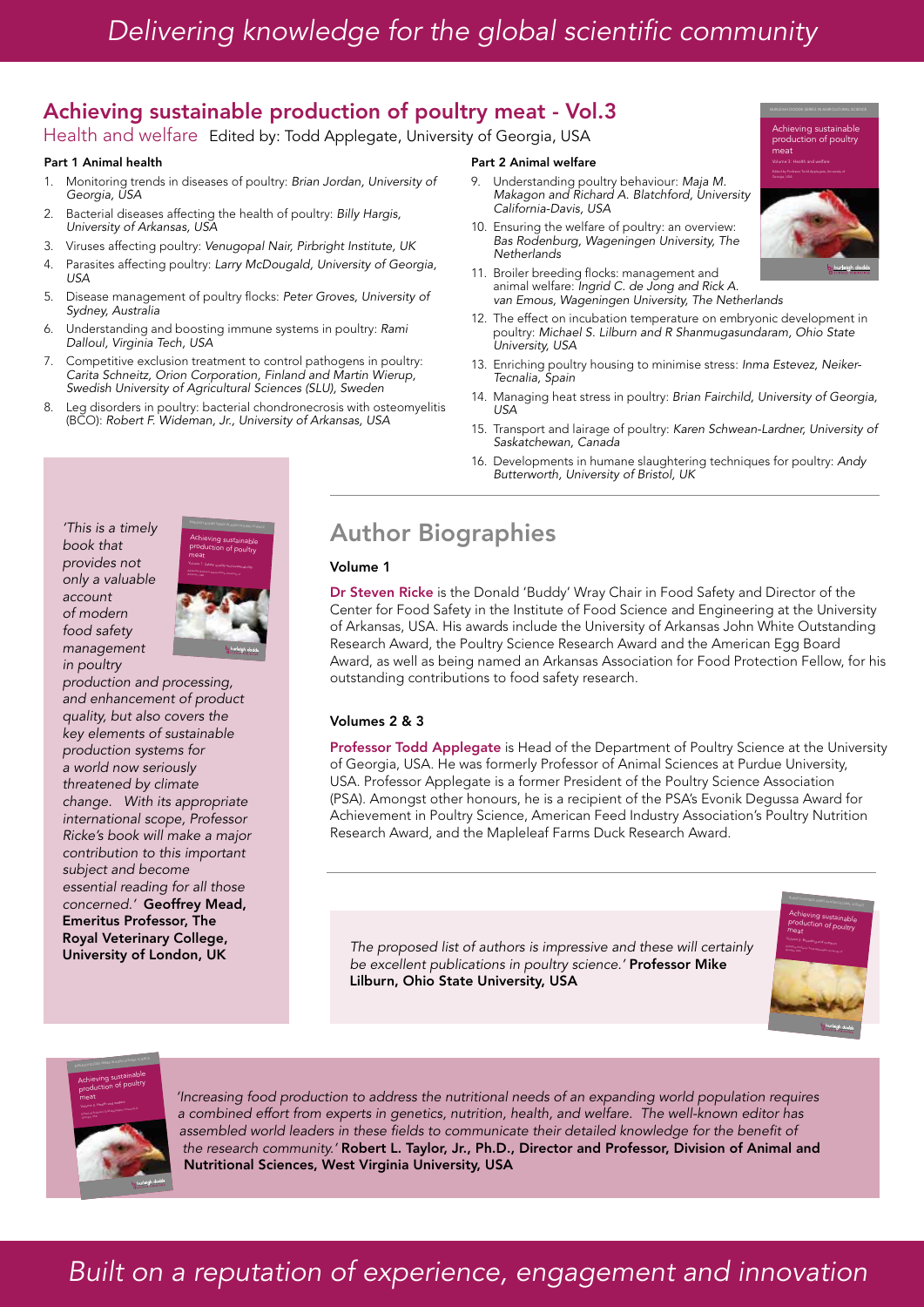## Achieving sustainable production of poultry meat - Vol.3

Health and welfare Edited by: Todd Applegate, University of Georgia, USA Achieving sustainable

## Part 1 Animal health

- 1. Monitoring trends in diseases of poultry: *Brian Jordan, University of Georgia, USA*
- 2. Bacterial diseases affecting the health of poultry: *Billy Hargis, University of Arkansas, USA*
- 3. Viruses affecting poultry: *Venugopal Nair, Pirbright Institute, UK*
- 4. Parasites affecting poultry: *Larry McDougald, University of Georgia, USA*
- 5. Disease management of poultry flocks: *Peter Groves, University of Sydney, Australia*
- 6. Understanding and boosting immune systems in poultry: *Rami Dalloul, Virginia Tech, USA*
- Competitive exclusion treatment to control pathogens in poultry: *Carita Schneitz, Orion Corporation, Finland and Martin Wierup, Swedish University of Agricultural Sciences (SLU), Sweden*
- 8. Leg disorders in poultry: bacterial chondronecrosis with osteomyelitis (BCO): *Robert F. Wideman, Jr., University of Arkansas, USA*

#### Part 2 Animal welfare

- 9. Understanding poultry behaviour: *Maja M. Makagon and Richard A. Blatchford, University California-Davis, USA*
- 10. Ensuring the welfare of poultry: an overview: *Bas Rodenburg, Wageningen University, The Netherlands*
- 11. Broiler breeding flocks: management and animal welfare: *Ingrid C. de Jong and Rick A. van Emous, Wageningen University, The Netherlands*
- 12. The effect on incubation temperature on embryonic development in poultry: *Michael S. Lilburn and R Shanmugasundaram, Ohio State University, USA*
- 13. Enriching poultry housing to minimise stress: *Inma Estevez, Neiker-Tecnalia, Spain*
- 14. Managing heat stress in poultry: *Brian Fairchild, University of Georgia, USA*
- 15. Transport and lairage of poultry: *Karen Schwean-Lardner, University of Saskatchewan, Canada*
- 16. Developments in humane slaughtering techniques for poultry: *Andy Butterworth, University of Bristol, UK*

#### *'This is a timely book that provides not only a valuable account of modern food safety management in poultry*

*production and processing, and enhancement of product quality, but also covers the key elements of sustainable production systems for a world now seriously threatened by climate change. With its appropriate international scope, Professor Ricke's book will make a major contribution to this important subject and become essential reading for all those concerned.'* Geoffrey Mead, Emeritus Professor, The Royal Veterinary College, University of London, UK

## Author Biographies

## Volume 1

Dr Steven Ricke is the Donald 'Buddy' Wray Chair in Food Safety and Director of the Center for Food Safety in the Institute of Food Science and Engineering at the University of Arkansas, USA. His awards include the University of Arkansas John White Outstanding Research Award, the Poultry Science Research Award and the American Egg Board Award, as well as being named an Arkansas Association for Food Protection Fellow, for his outstanding contributions to food safety research.

## Volumes 2 & 3

Professor Todd Applegate is Head of the Department of Poultry Science at the University of Georgia, USA. He was formerly Professor of Animal Sciences at Purdue University, USA. Professor Applegate is a former President of the Poultry Science Association (PSA). Amongst other honours, he is a recipient of the PSA's Evonik Degussa Award for Achievement in Poultry Science, American Feed Industry Association's Poultry Nutrition Research Award, and the Mapleleaf Farms Duck Research Award.

*The proposed list of authors is impressive and these will certainly be excellent publications in poultry science.'* Professor Mike Lilburn, Ohio State University, USA





*'Increasing food production to address the nutritional needs of an expanding world population requires a combined effort from experts in genetics, nutrition, health, and welfare. The well-known editor has assembled world leaders in these fields to communicate their detailed knowledge for the benefit of the research community.'* Robert L. Taylor, Jr., Ph.D., Director and Professor, Division of Animal and Nutritional Sciences, West Virginia University, USA

## *Built on a reputation of experience, engagement and innovation*



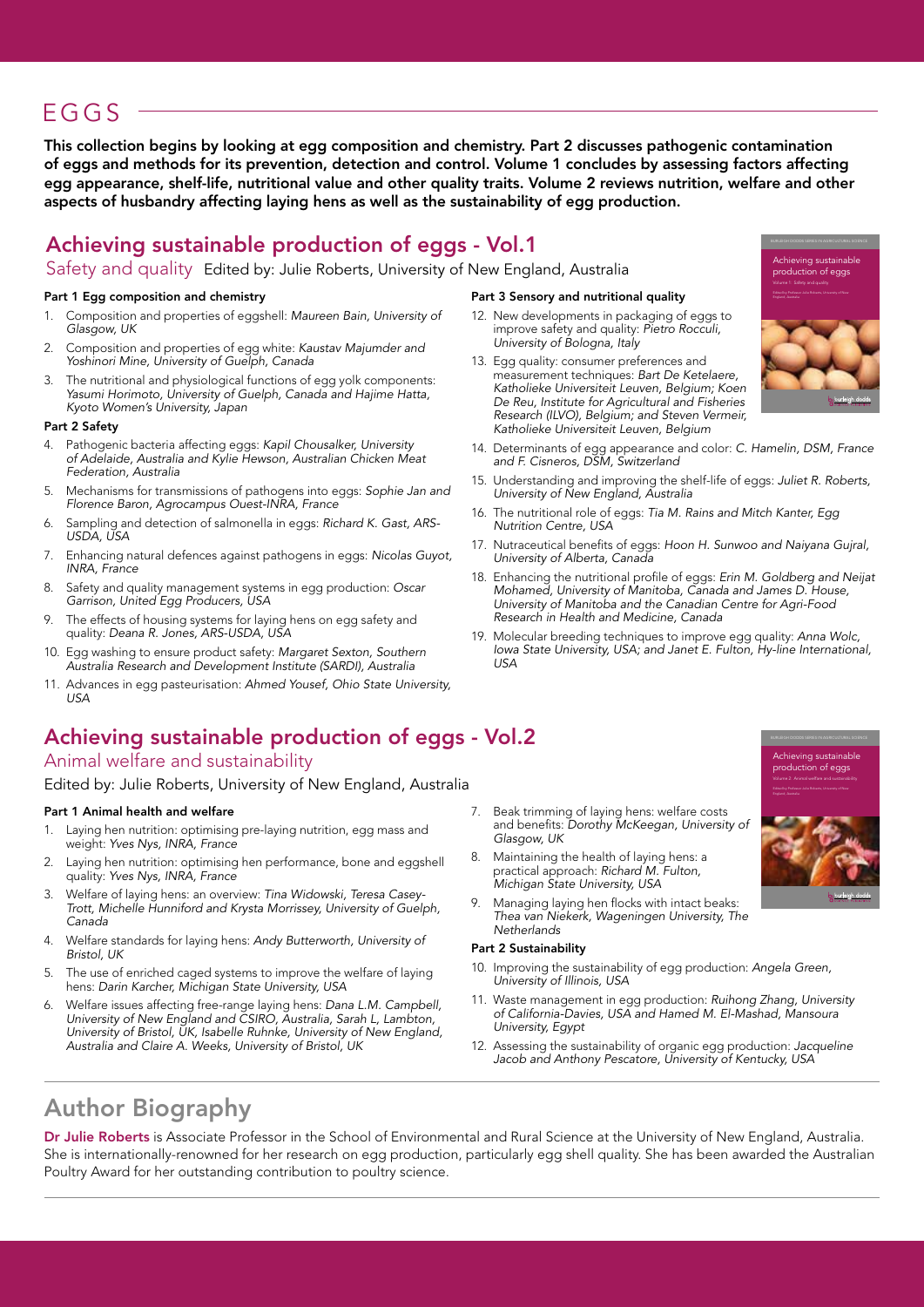## EGGS

This collection begins by looking at egg composition and chemistry. Part 2 discusses pathogenic contamination of eggs and methods for its prevention, detection and control. Volume 1 concludes by assessing factors affecting egg appearance, shelf-life, nutritional value and other quality traits. Volume 2 reviews nutrition, welfare and other aspects of husbandry affecting laying hens as well as the sustainability of egg production.

## Achieving sustainable production of eggs - Vol.1

Safety and quality Edited by: Julie Roberts, University of New England, Australia Achieving Sustainable Incoduction of a

#### Part 1 Egg composition and chemistry

- 1. Composition and properties of eggshell: *Maureen Bain, University of Glasgow, UK*
- 2. Composition and properties of egg white: *Kaustav Majumder and Yoshinori Mine, University of Guelph, Canada*
- 3. The nutritional and physiological functions of egg yolk components: *Yasumi Horimoto, University of Guelph, Canada and Hajime Hatta, Kyoto Women's University, Japan*

#### Part 2 Safety

- 4. Pathogenic bacteria affecting eggs: *Kapil Chousalker, University of Adelaide, Australia and Kylie Hewson, Australian Chicken Meat Federation, Australia*
- 5. Mechanisms for transmissions of pathogens into eggs: *Sophie Jan and Florence Baron, Agrocampus Ouest-INRA, France*
- 6. Sampling and detection of salmonella in eggs: *Richard K. Gast, ARS-USDA, USA*
- 7. Enhancing natural defences against pathogens in eggs: *Nicolas Guyot, INRA, France*
- 8. Safety and quality management systems in egg production: *Oscar Garrison, United Egg Producers, USA*
- 9. The effects of housing systems for laying hens on egg safety and quality: *Deana R. Jones, ARS-USDA, USA*
- 10. Egg washing to ensure product safety: *Margaret Sexton, Southern Australia Research and Development Institute (SARDI), Australia*
- 11. Advances in egg pasteurisation: *Ahmed Yousef, Ohio State University, USA*

## Achieving sustainable production of eggs - Vol.2

## Animal welfare and sustainability

Edited by: Julie Roberts, University of New England, Australia

#### Part 1 Animal health and welfare

- 1. Laying hen nutrition: optimising pre-laying nutrition, egg mass and weight: *Yves Nys, INRA, France*
- 2. Laying hen nutrition: optimising hen performance, bone and eggshell quality: *Yves Nys, INRA, France*
- 3. Welfare of laying hens: an overview: *Tina Widowski, Teresa Casey-Trott, Michelle Hunniford and Krysta Morrissey, University of Guelph, Canada*
- 4. Welfare standards for laying hens: *Andy Butterworth, University of Bristol, UK*
- 5. The use of enriched caged systems to improve the welfare of laying hens: *Darin Karcher, Michigan State University, USA*
- 6. Welfare issues affecting free-range laying hens: *Dana L.M. Campbell, University of New England and CSIRO, Australia, Sarah L, Lambton, University of Bristol, UK, Isabelle Ruhnke, University of New England, Australia and Claire A. Weeks, University of Bristol, UK*

#### Part 3 Sensory and nutritional quality

- 12. New developments in packaging of eggs to improve safety and quality: *Pietro Rocculi, University of Bologna, Italy*
- 13. Egg quality: consumer preferences and measurement techniques: *Bart De Ketelaere, Katholieke Universiteit Leuven, Belgium; Koen De Reu, Institute for Agricultural and Fisheries Research (ILVO), Belgium; and Steven Vermeir, Katholieke Universiteit Leuven, Belgium*
- 14. Determinants of egg appearance and color: *C. Hamelin, DSM, France and F. Cisneros, DSM, Switzerland*
- 15. Understanding and improving the shelf-life of eggs: *Juliet R. Roberts, University of New England, Australia*
- 16. The nutritional role of eggs: *Tia M. Rains and Mitch Kanter, Egg Nutrition Centre, USA*
- 17. Nutraceutical benefits of eggs: *Hoon H. Sunwoo and Naiyana Gujral, University of Alberta, Canada*
- 18. Enhancing the nutritional profile of eggs: *Erin M. Goldberg and Neijat Mohamed, University of Manitoba, Canada and James D. House, University of Manitoba and the Canadian Centre for Agri-Food Research in Health and Medicine, Canada*
- 19. Molecular breeding techniques to improve egg quality: *Anna Wolc, Iowa State University, USA; and Janet E. Fulton, Hy-line International, USA*

- 7. Beak trimming of laying hens: welfare costs and benefits: *Dorothy McKeegan, University of Glasgow, UK*
- 8. Maintaining the health of laying hens: a practical approach: *Richard M. Fulton, Michigan State University, USA*
- Managing laying hen flocks with intact beaks: *Thea van Niekerk, Wageningen University, The Netherlands*

#### Part 2 Sustainability

- 10. Improving the sustainability of egg production: *Angela Green, University of Illinois, USA*
- 11. Waste management in egg production: *Ruihong Zhang, University of California-Davies, USA and Hamed M. El-Mashad, Mansoura University, Egypt*
- 12. Assessing the sustainability of organic egg production: *Jacqueline Jacob and Anthony Pescatore, University of Kentucky, USA*

## Author Biography

Dr Julie Roberts is Associate Professor in the School of Environmental and Rural Science at the University of New England, Australia. She is internationally-renowned for her research on egg production, particularly egg shell quality. She has been awarded the Australian Poultry Award for her outstanding contribution to poultry science.



Achieving sustainabl

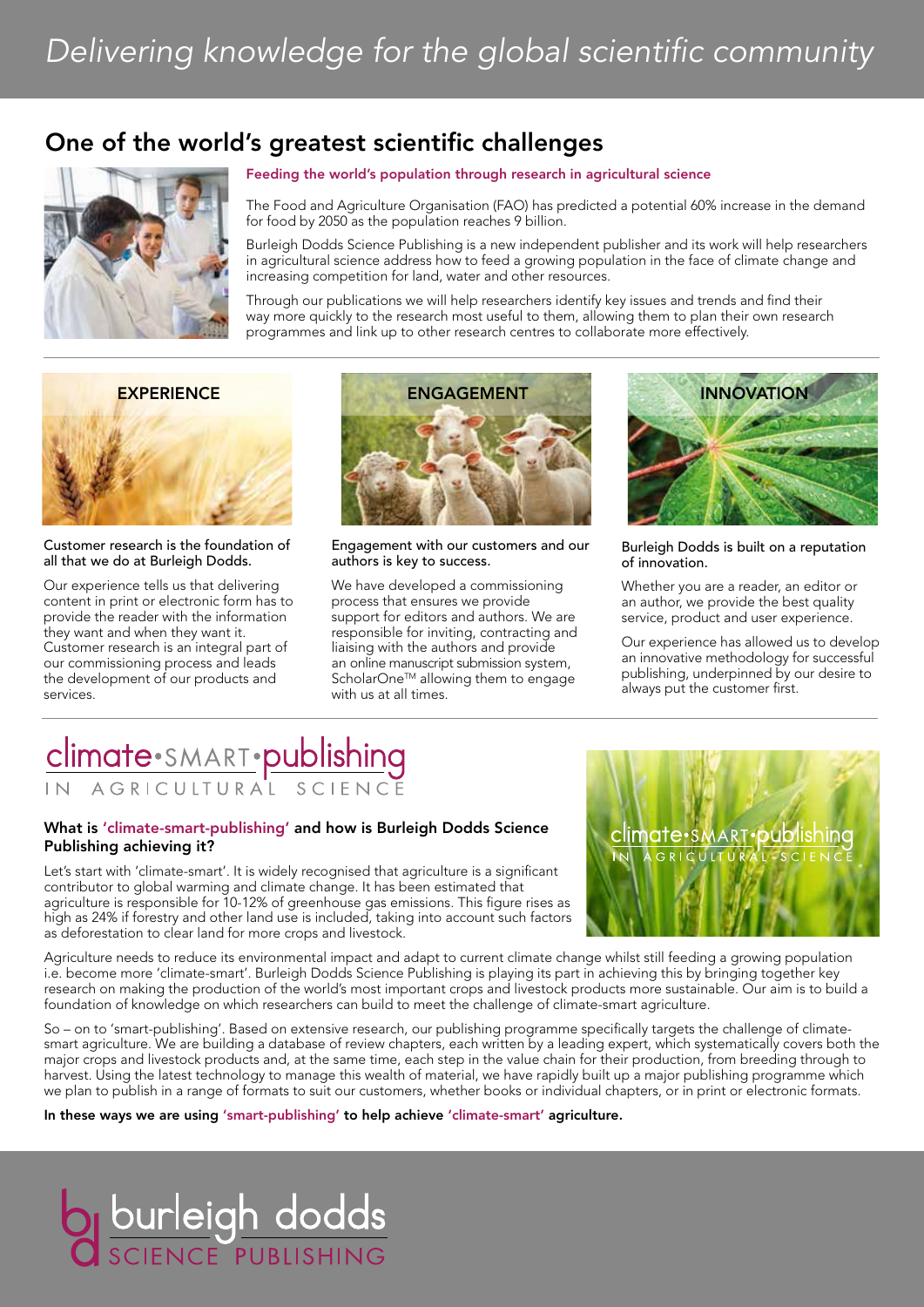## One of the world's greatest scientific challenges



#### Feeding the world's population through research in agricultural science

The Food and Agriculture Organisation (FAO) has predicted a potential 60% increase in the demand for food by 2050 as the population reaches 9 billion.

Burleigh Dodds Science Publishing is a new independent publisher and its work will help researchers in agricultural science address how to feed a growing population in the face of climate change and increasing competition for land, water and other resources.

Through our publications we will help researchers identify key issues and trends and find their way more quickly to the research most useful to them, allowing them to plan their own research programmes and link up to other research centres to collaborate more effectively.



Customer research is the foundation of all that we do at Burleigh Dodds.

Our experience tells us that delivering Our experience tells us that delivering We have dev<br>
content in print or electronic form has to process that provide the reader with the information they want and when they want it. Customer research is an integral part of our commissioning process and leads the development of our products and services.



Engagement with our customers and our authors is key to success.

We have developed a commissioning process that ensures we provide support for editors and authors. We are responsible for inviting, contracting and liaising with the authors and provide an online manuscript submission system, ScholarOne™ allowing them to engage with us at all times.



#### Burleigh Dodds is built on a reputation of innovation.

Whether you are a reader, an editor or an author, we provide the best quality service, product and user experience.

Our experience has allowed us to develop an innovative methodology for successful publishing, underpinned by our desire to always put the customer first.

## Climate SMART publishing

## What is 'climate-smart-publishing' and how is Burleigh Dodds Science Publishing achieving it?

Let's start with 'climate-smart'. It is widely recognised that agriculture is a significant contributor to global warming and climate change. It has been estimated that agriculture is responsible for 10-12% of greenhouse gas emissions. This figure rises as high as 24% if forestry and other land use is included, taking into account such factors as deforestation to clear land for more crops and livestock.

<u>climate•smart•publishing</u>  $\overline{N}$ **AGRICULTUR** 

Agriculture needs to reduce its environmental impact and adapt to current climate change whilst still feeding a growing population i.e. become more 'climate-smart'. Burleigh Dodds Science Publishing is playing its part in achieving this by bringing together key research on making the production of the world's most important crops and livestock products more sustainable. Our aim is to build a foundation of knowledge on which researchers can build to meet the challenge of climate-smart agriculture.

So – on to 'smart-publishing'. Based on extensive research, our publishing programme specifically targets the challenge of climatesmart agriculture. We are building a database of review chapters, each written by a leading expert, which systematically covers both the major crops and livestock products and, at the same time, each step in the value chain for their production, from breeding through to harvest. Using the latest technology to manage this wealth of material, we have rapidly built up a major publishing programme which we plan to publish in a range of formats to suit our customers, whether books or individual chapters, or in print or electronic formats.

In these ways we are using 'smart-publishing' to help achieve 'climate-smart' agriculture.

# <mark>) burleigh dodds</mark><br>Discience puriishing